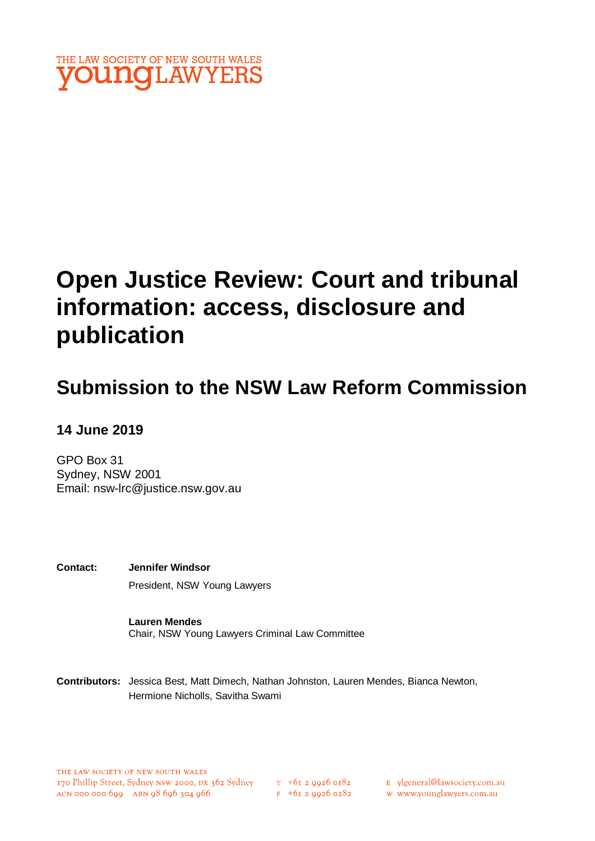

# **Open Justice Review: Court and tribunal information: access, disclosure and publication**

## **Submission to the NSW Law Reform Commission**

#### **14 June 2019**

GPO Box 31 Sydney, NSW 2001 Email: [nsw-lrc@justice.nsw.gov.au](mailto:nsw-lrc@justice.nsw.gov.au)

**Contact: Jennifer Windsor** President, NSW Young Lawyers

> **Lauren Mendes** Chair, NSW Young Lawyers Criminal Law Committee

**Contributors:** Jessica Best, Matt Dimech, Nathan Johnston, Lauren Mendes, Bianca Newton, Hermione Nicholls, Savitha Swami

- E ylgeneral@lawsociety.com.au
- w www.younglawyers.com.au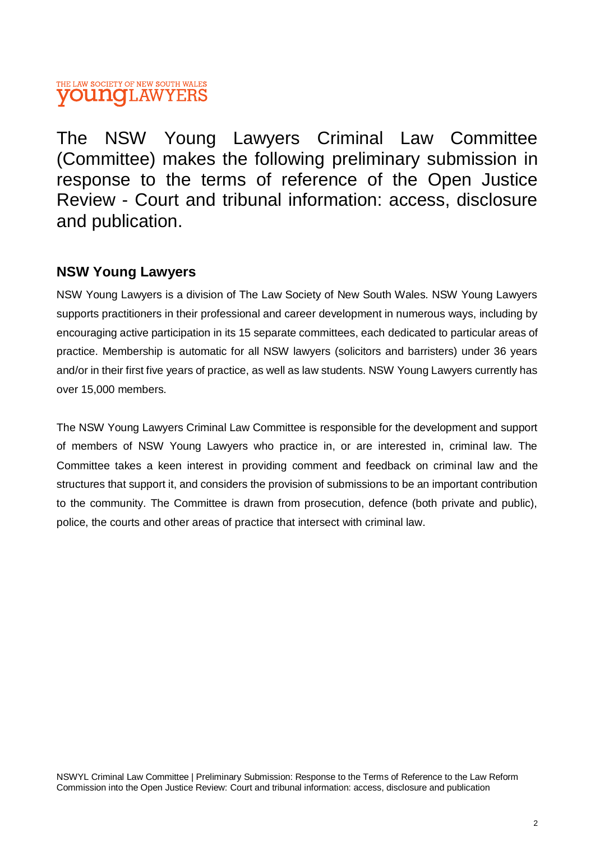#### THE LAW SOCIETY OF NEW SOUTH WALES **OUNG**LAWYERS

The NSW Young Lawyers Criminal Law Committee (Committee) makes the following preliminary submission in response to the terms of reference of the Open Justice Review - Court and tribunal information: access, disclosure and publication.

#### **NSW Young Lawyers**

NSW Young Lawyers is a division of The Law Society of New South Wales. NSW Young Lawyers supports practitioners in their professional and career development in numerous ways, including by encouraging active participation in its 15 separate committees, each dedicated to particular areas of practice. Membership is automatic for all NSW lawyers (solicitors and barristers) under 36 years and/or in their first five years of practice, as well as law students. NSW Young Lawyers currently has over 15,000 members.

The NSW Young Lawyers Criminal Law Committee is responsible for the development and support of members of NSW Young Lawyers who practice in, or are interested in, criminal law. The Committee takes a keen interest in providing comment and feedback on criminal law and the structures that support it, and considers the provision of submissions to be an important contribution to the community. The Committee is drawn from prosecution, defence (both private and public), police, the courts and other areas of practice that intersect with criminal law.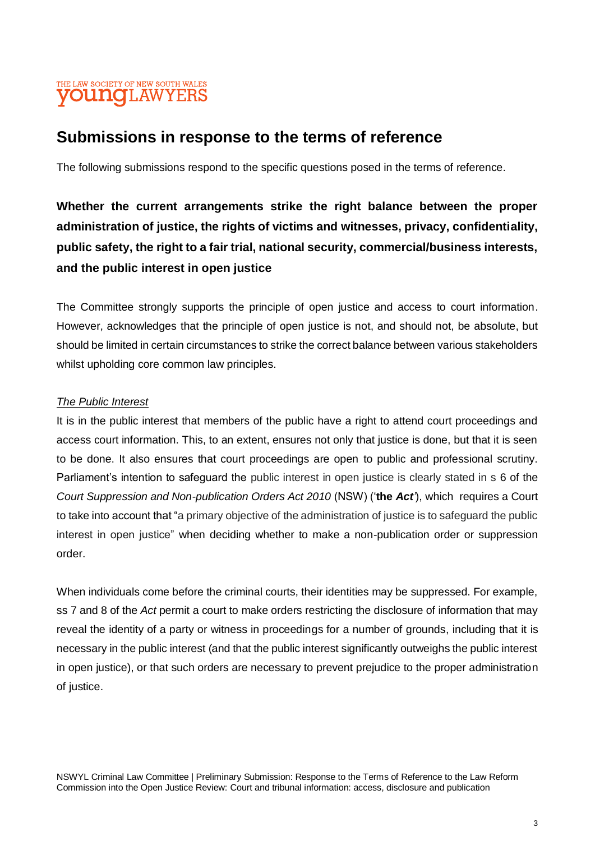#### THE LAW SOCIETY OF NEW SOUTH WALES **OUNCLAWYERS**

### **Submissions in response to the terms of reference**

The following submissions respond to the specific questions posed in the terms of reference.

**Whether the current arrangements strike the right balance between the proper administration of justice, the rights of victims and witnesses, privacy, confidentiality, public safety, the right to a fair trial, national security, commercial/business interests, and the public interest in open justice**

The Committee strongly supports the principle of open justice and access to court information. However, acknowledges that the principle of open justice is not, and should not, be absolute, but should be limited in certain circumstances to strike the correct balance between various stakeholders whilst upholding core common law principles.

#### *The Public Interest*

It is in the public interest that members of the public have a right to attend court proceedings and access court information. This, to an extent, ensures not only that justice is done, but that it is seen to be done. It also ensures that court proceedings are open to public and professional scrutiny. Parliament's intention to safeguard the public interest in open justice is clearly stated in s 6 of the *Court Suppression and Non-publication Orders Act 2010* (NSW) ('**the** *Act'*), which requires a Court to take into account that "a primary objective of the administration of justice is to safeguard the public interest in open justice" when deciding whether to make a non-publication order or suppression order.

When individuals come before the criminal courts, their identities may be suppressed. For example, ss 7 and 8 of the *Act* permit a court to make orders restricting the disclosure of information that may reveal the identity of a party or witness in proceedings for a number of grounds, including that it is necessary in the public interest (and that the public interest significantly outweighs the public interest in open justice), or that such orders are necessary to prevent prejudice to the proper administration of justice.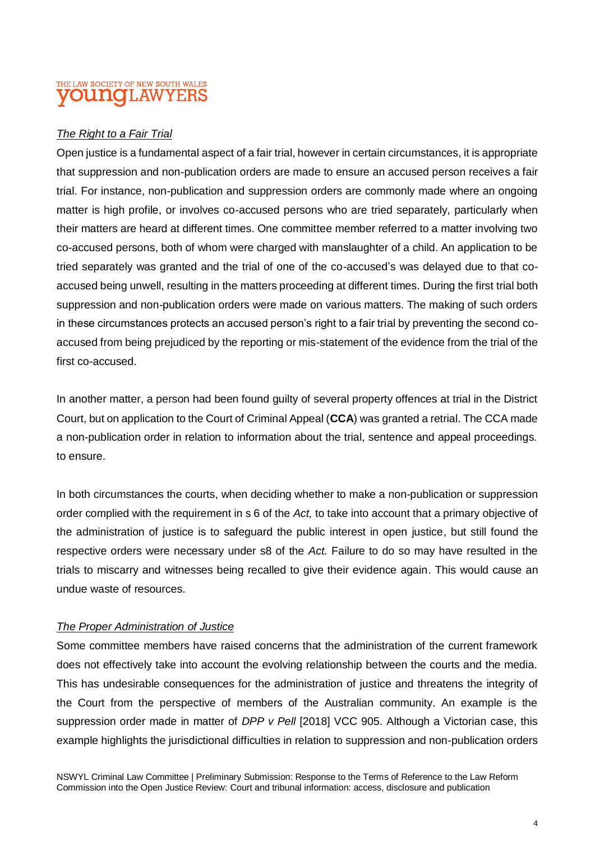#### THE LAW SOCIETY OF NEW SOUTH WALES **OUNCLAWYERS**

#### *The Right to a Fair Trial*

Open justice is a fundamental aspect of a fair trial, however in certain circumstances, it is appropriate that suppression and non-publication orders are made to ensure an accused person receives a fair trial. For instance, non-publication and suppression orders are commonly made where an ongoing matter is high profile, or involves co-accused persons who are tried separately, particularly when their matters are heard at different times. One committee member referred to a matter involving two co-accused persons, both of whom were charged with manslaughter of a child. An application to be tried separately was granted and the trial of one of the co-accused's was delayed due to that coaccused being unwell, resulting in the matters proceeding at different times. During the first trial both suppression and non-publication orders were made on various matters. The making of such orders in these circumstances protects an accused person's right to a fair trial by preventing the second coaccused from being prejudiced by the reporting or mis-statement of the evidence from the trial of the first co-accused.

In another matter, a person had been found guilty of several property offences at trial in the District Court, but on application to the Court of Criminal Appeal (**CCA**) was granted a retrial. The CCA made a non-publication order in relation to information about the trial, sentence and appeal proceedings. to ensure.

In both circumstances the courts, when deciding whether to make a non-publication or suppression order complied with the requirement in s 6 of the *Act,* to take into account that a primary objective of the administration of justice is to safeguard the public interest in open justice, but still found the respective orders were necessary under s8 of the *Act.* Failure to do so may have resulted in the trials to miscarry and witnesses being recalled to give their evidence again. This would cause an undue waste of resources.

#### *The Proper Administration of Justice*

Some committee members have raised concerns that the administration of the current framework does not effectively take into account the evolving relationship between the courts and the media. This has undesirable consequences for the administration of justice and threatens the integrity of the Court from the perspective of members of the Australian community. An example is the suppression order made in matter of *DPP v Pell* [2018] VCC 905. Although a Victorian case, this example highlights the jurisdictional difficulties in relation to suppression and non-publication orders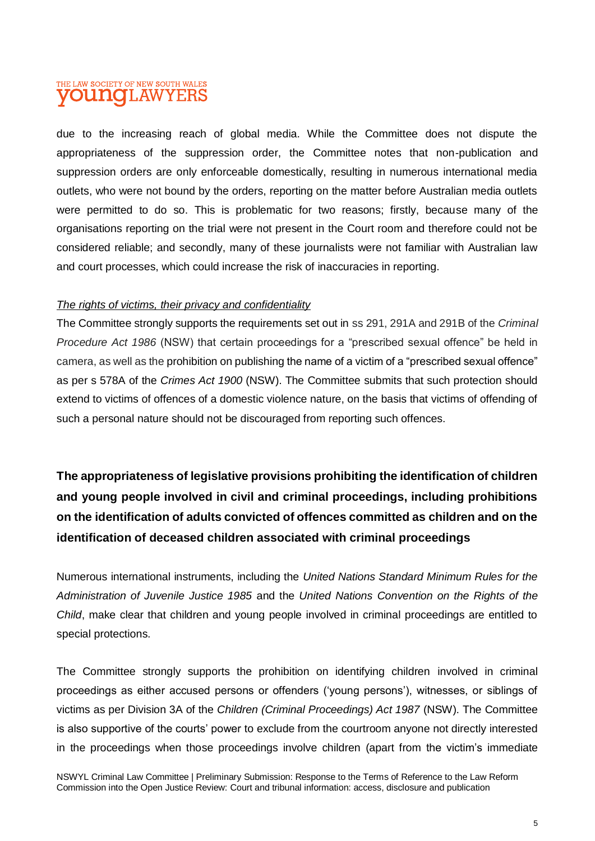#### THE LAW SOCIETY OF NEW SOUTH WALES **OUNO**LAWYERS

due to the increasing reach of global media. While the Committee does not dispute the appropriateness of the suppression order, the Committee notes that non-publication and suppression orders are only enforceable domestically, resulting in numerous international media outlets, who were not bound by the orders, reporting on the matter before Australian media outlets were permitted to do so. This is problematic for two reasons; firstly, because many of the organisations reporting on the trial were not present in the Court room and therefore could not be considered reliable; and secondly, many of these journalists were not familiar with Australian law and court processes, which could increase the risk of inaccuracies in reporting.

#### *The rights of victims, their privacy and confidentiality*

The Committee strongly supports the requirements set out in ss 291, 291A and 291B of the *Criminal Procedure Act 1986* (NSW) that certain proceedings for a "prescribed sexual offence" be held in camera, as well as the prohibition on publishing the name of a victim of a "prescribed sexual offence" as per s 578A of the *Crimes Act 1900* (NSW). The Committee submits that such protection should extend to victims of offences of a domestic violence nature, on the basis that victims of offending of such a personal nature should not be discouraged from reporting such offences.

**The appropriateness of legislative provisions prohibiting the identification of children and young people involved in civil and criminal proceedings, including prohibitions on the identification of adults convicted of offences committed as children and on the identification of deceased children associated with criminal proceedings**

Numerous international instruments, including the *United Nations Standard Minimum Rules for the Administration of Juvenile Justice 1985* and the *United Nations Convention on the Rights of the Child*, make clear that children and young people involved in criminal proceedings are entitled to special protections.

The Committee strongly supports the prohibition on identifying children involved in criminal proceedings as either accused persons or offenders ('young persons'), witnesses, or siblings of victims as per Division 3A of the *Children (Criminal Proceedings) Act 1987* (NSW). The Committee is also supportive of the courts' power to exclude from the courtroom anyone not directly interested in the proceedings when those proceedings involve children (apart from the victim's immediate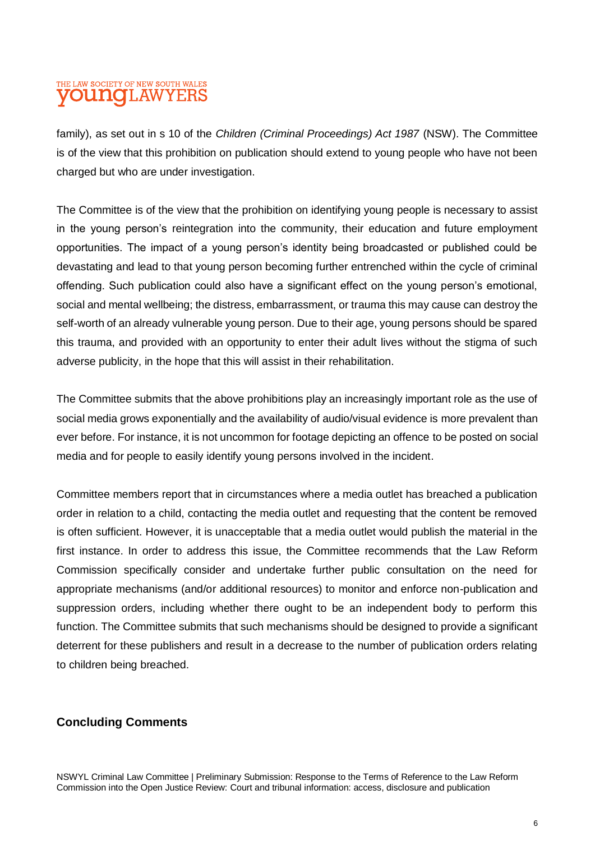#### THE LAW SOCIETY OF NEW SOUTH WALES **OUNGLAWYEF**

family), as set out in s 10 of the *Children (Criminal Proceedings) Act 1987* (NSW). The Committee is of the view that this prohibition on publication should extend to young people who have not been charged but who are under investigation.

The Committee is of the view that the prohibition on identifying young people is necessary to assist in the young person's reintegration into the community, their education and future employment opportunities. The impact of a young person's identity being broadcasted or published could be devastating and lead to that young person becoming further entrenched within the cycle of criminal offending. Such publication could also have a significant effect on the young person's emotional, social and mental wellbeing; the distress, embarrassment, or trauma this may cause can destroy the self-worth of an already vulnerable young person. Due to their age, young persons should be spared this trauma, and provided with an opportunity to enter their adult lives without the stigma of such adverse publicity, in the hope that this will assist in their rehabilitation.

The Committee submits that the above prohibitions play an increasingly important role as the use of social media grows exponentially and the availability of audio/visual evidence is more prevalent than ever before. For instance, it is not uncommon for footage depicting an offence to be posted on social media and for people to easily identify young persons involved in the incident.

Committee members report that in circumstances where a media outlet has breached a publication order in relation to a child, contacting the media outlet and requesting that the content be removed is often sufficient. However, it is unacceptable that a media outlet would publish the material in the first instance. In order to address this issue, the Committee recommends that the Law Reform Commission specifically consider and undertake further public consultation on the need for appropriate mechanisms (and/or additional resources) to monitor and enforce non-publication and suppression orders, including whether there ought to be an independent body to perform this function. The Committee submits that such mechanisms should be designed to provide a significant deterrent for these publishers and result in a decrease to the number of publication orders relating to children being breached.

#### **Concluding Comments**